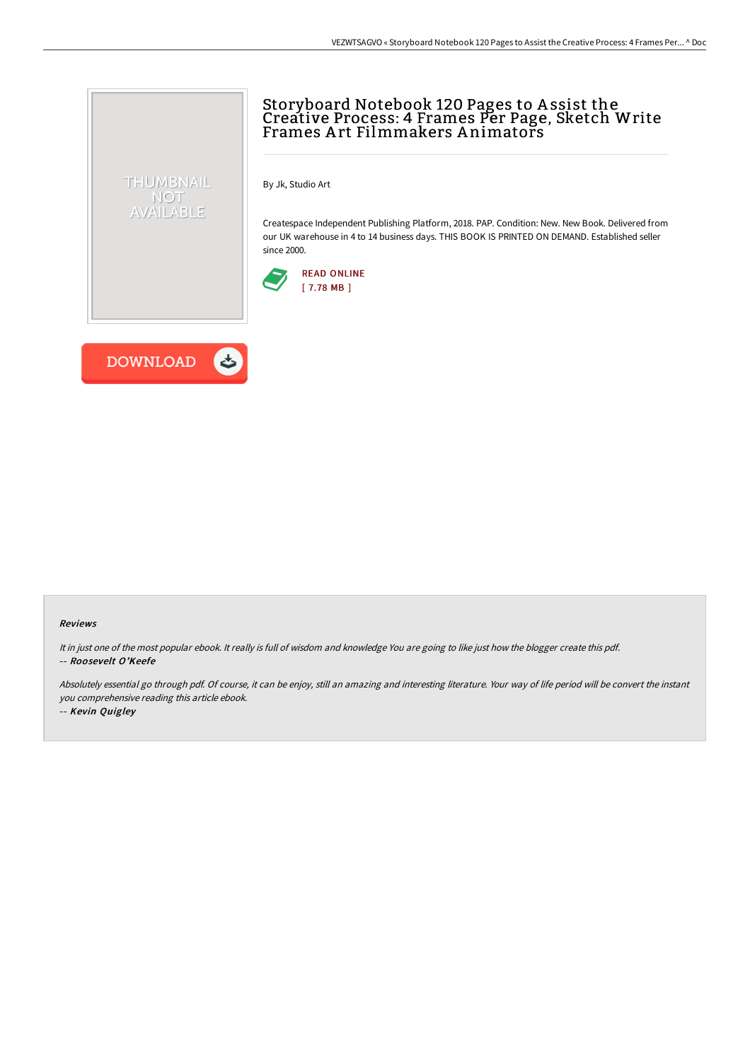## Storyboard Notebook 120 Pages to A ssist the Creative Process: 4 Frames Per Page, Sketch Write Frames A rt Filmmakers A nimators

By Jk, Studio Art

Createspace Independent Publishing Platform, 2018. PAP. Condition: New. New Book. Delivered from our UK warehouse in 4 to 14 business days. THIS BOOK IS PRINTED ON DEMAND. Established seller since 2000.





THUMBNAIL NOT<br>AVAILABLE

## Reviews

It in just one of the most popular ebook. It really is full of wisdom and knowledge You are going to like just how the blogger create this pdf. -- Roosevelt O'Keefe

Absolutely essential go through pdf. Of course, it can be enjoy, still an amazing and interesting literature. Your way of life period will be convert the instant you comprehensive reading this article ebook.

-- Kevin Quigley